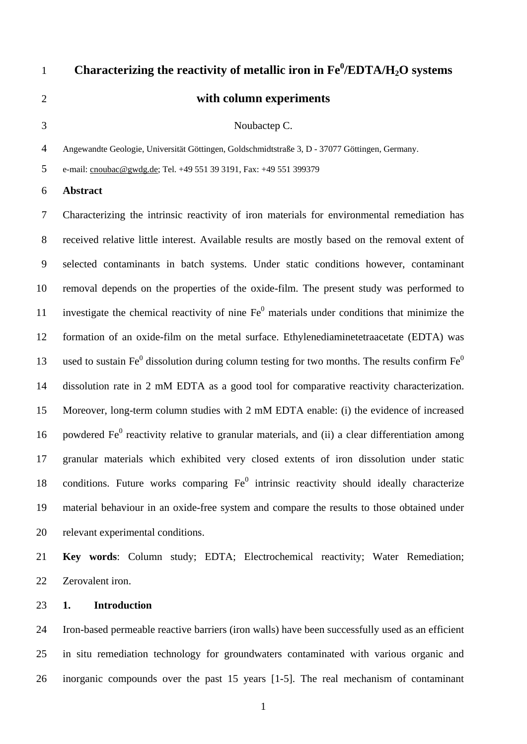# Characterizing the reactivity of metallic iron in  $Fe^{0}/EDTA/H_{2}O$  systems **with column experiments** 2 3 Noubactep C.

4 Angewandte Geologie, Universität Göttingen, Goldschmidtstraße 3, D - 37077 Göttingen, Germany.

5 e-mail: [cnoubac@gwdg.de;](mailto:cnoubac@gwdg.de) Tel. +49 551 39 3191, Fax: +49 551 399379

#### 6 **Abstract**

7 8 9 10 11 12 13 14 15 16 17 18 19 20 Characterizing the intrinsic reactivity of iron materials for environmental remediation has received relative little interest. Available results are mostly based on the removal extent of selected contaminants in batch systems. Under static conditions however, contaminant removal depends on the properties of the oxide-film. The present study was performed to investigate the chemical reactivity of nine  $Fe<sup>0</sup>$  materials under conditions that minimize the formation of an oxide-film on the metal surface. Ethylenediaminetetraacetate (EDTA) was used to sustain Fe $^0$  dissolution during column testing for two months. The results confirm Fe $^0$ dissolution rate in 2 mM EDTA as a good tool for comparative reactivity characterization. Moreover, long-term column studies with 2 mM EDTA enable: (i) the evidence of increased powdered  $Fe<sup>0</sup>$  reactivity relative to granular materials, and (ii) a clear differentiation among granular materials which exhibited very closed extents of iron dissolution under static conditions. Future works comparing  $Fe<sup>0</sup>$  intrinsic reactivity should ideally characterize material behaviour in an oxide-free system and compare the results to those obtained under relevant experimental conditions.

21 22 **Key words**: Column study; EDTA; Electrochemical reactivity; Water Remediation; Zerovalent iron.

### 23 **1. Introduction**

24 25 26 Iron-based permeable reactive barriers (iron walls) have been successfully used as an efficient in situ remediation technology for groundwaters contaminated with various organic and inorganic compounds over the past 15 years [1-5]. The real mechanism of contaminant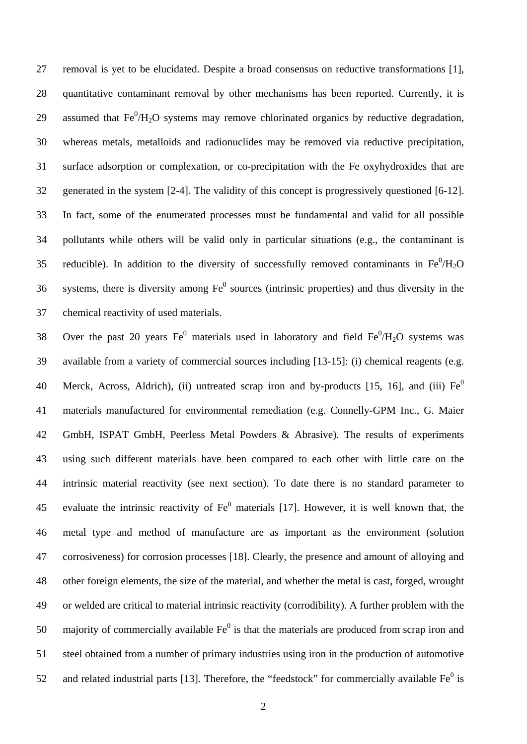removal is yet to be elucidated. Despite a broad consensus on reductive transformations [1], quantitative contaminant removal by other mechanisms has been reported. Currently, it is assumed that  $Fe^{0}/H_{2}O$  systems may remove chlorinated organics by reductive degradation, 27 28 29 30 31 32 33 34 35 36 37 whereas metals, metalloids and radionuclides may be removed via reductive precipitation, surface adsorption or complexation, or co-precipitation with the Fe oxyhydroxides that are generated in the system [2-4]. The validity of this concept is progressively questioned [6-12]. In fact, some of the enumerated processes must be fundamental and valid for all possible pollutants while others will be valid only in particular situations (e.g., the contaminant is reducible). In addition to the diversity of successfully removed contaminants in  $Fe^{0}/H_{2}O$ systems, there is diversity among  $Fe<sup>0</sup>$  sources (intrinsic properties) and thus diversity in the chemical reactivity of used materials.

38 39 40 41 42 43 44 45 46 47 48 49 50 51 52 Over the past 20 years  $Fe<sup>0</sup>$  materials used in laboratory and field  $Fe<sup>0</sup>/H<sub>2</sub>O$  systems was available from a variety of commercial sources including [13-15]: (i) chemical reagents (e.g. Merck, Across, Aldrich), (ii) untreated scrap iron and by-products [15, 16], and (iii)  $Fe<sup>0</sup>$ materials manufactured for environmental remediation (e.g. Connelly-GPM Inc., G. Maier GmbH, ISPAT GmbH, Peerless Metal Powders & Abrasive). The results of experiments using such different materials have been compared to each other with little care on the intrinsic material reactivity (see next section). To date there is no standard parameter to evaluate the intrinsic reactivity of  $Fe<sup>0</sup>$  materials [17]. However, it is well known that, the metal type and method of manufacture are as important as the environment (solution corrosiveness) for corrosion processes [18]. Clearly, the presence and amount of alloying and other foreign elements, the size of the material, and whether the metal is cast, forged, wrought or welded are critical to material intrinsic reactivity (corrodibility). A further problem with the majority of commercially available  $Fe<sup>0</sup>$  is that the materials are produced from scrap iron and steel obtained from a number of primary industries using iron in the production of automotive and related industrial parts [13]. Therefore, the "feedstock" for commercially available  $Fe<sup>0</sup>$  is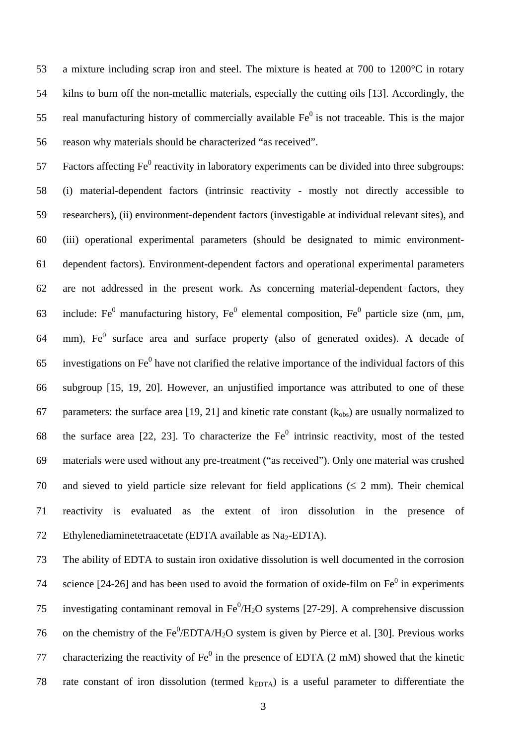a mixture including scrap iron and steel. The mixture is heated at 700 to 1200°C in rotary kilns to burn off the non-metallic materials, especially the cutting oils [13]. Accordingly, the real manufacturing history of commercially available  $Fe<sup>0</sup>$  is not traceable. This is the major 53 54 55 56 reason why materials should be characterized "as received".

57 58 59 60 61 62 63 64 65 66 67 68 69 70 71 72 Factors affecting  $Fe^{0}$  reactivity in laboratory experiments can be divided into three subgroups: (i) material-dependent factors (intrinsic reactivity - mostly not directly accessible to researchers), (ii) environment-dependent factors (investigable at individual relevant sites), and (iii) operational experimental parameters (should be designated to mimic environmentdependent factors). Environment-dependent factors and operational experimental parameters are not addressed in the present work. As concerning material-dependent factors, they include: Fe<sup>0</sup> manufacturing history, Fe<sup>0</sup> elemental composition, Fe<sup>0</sup> particle size (nm,  $\mu$ m, mm),  $Fe<sup>0</sup>$  surface area and surface property (also of generated oxides). A decade of investigations on  $Fe<sup>0</sup>$  have not clarified the relative importance of the individual factors of this subgroup [15, 19, 20]. However, an unjustified importance was attributed to one of these parameters: the surface area [19, 21] and kinetic rate constant  $(k_{obs})$  are usually normalized to the surface area [22, 23]. To characterize the  $Fe<sup>0</sup>$  intrinsic reactivity, most of the tested materials were used without any pre-treatment ("as received"). Only one material was crushed and sieved to yield particle size relevant for field applications  $(\leq 2 \text{ mm})$ . Their chemical reactivity is evaluated as the extent of iron dissolution in the presence of Ethylenediaminetetraacetate (EDTA available as Na<sub>2</sub>-EDTA).

73 74 75 76 77 78 The ability of EDTA to sustain iron oxidative dissolution is well documented in the corrosion science  $[24-26]$  and has been used to avoid the formation of oxide-film on Fe<sup>0</sup> in experiments investigating contaminant removal in  $Fe^{0}/H_{2}O$  systems [27-29]. A comprehensive discussion on the chemistry of the  $Fe^0/EDTA/H_2O$  system is given by Pierce et al. [30]. Previous works characterizing the reactivity of  $Fe<sup>0</sup>$  in the presence of EDTA (2 mM) showed that the kinetic rate constant of iron dissolution (termed  $k_{EDTA}$ ) is a useful parameter to differentiate the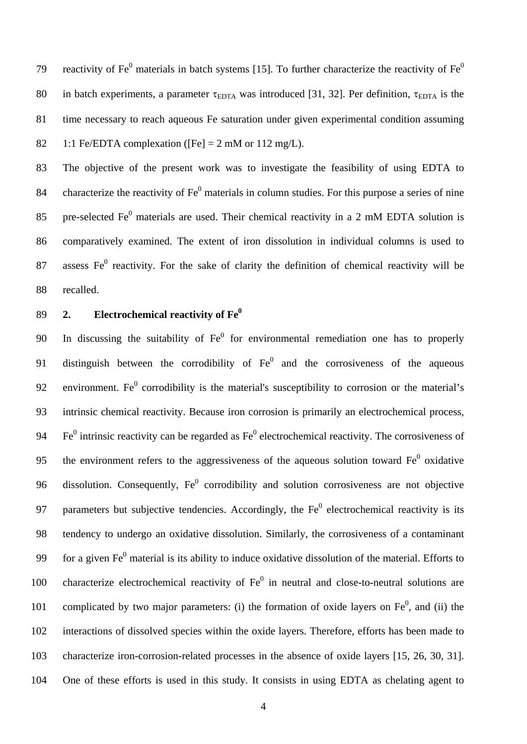reactivity of Fe<sup>0</sup> materials in batch systems [15]. To further characterize the reactivity of Fe<sup>0</sup> in batch experiments, a parameter  $\tau_{EDTA}$  was introduced [31, 32]. Per definition,  $\tau_{EDTA}$  is the 79 80 81 82 time necessary to reach aqueous Fe saturation under given experimental condition assuming 1:1 Fe/EDTA complexation ([Fe]  $= 2$  mM or 112 mg/L).

83 84 85 86 87 88 The objective of the present work was to investigate the feasibility of using EDTA to characterize the reactivity of  $Fe<sup>0</sup>$  materials in column studies. For this purpose a series of nine pre-selected Fe $^0$  materials are used. Their chemical reactivity in a 2 mM EDTA solution is comparatively examined. The extent of iron dissolution in individual columns is used to assess  $Fe<sup>0</sup>$  reactivity. For the sake of clarity the definition of chemical reactivity will be recalled.

### 89 **2. Electrochemical reactivity of Fe0**

90 91 92 93 94 95 96 97 98 99 100 101 102 103 104 In discussing the suitability of  $Fe<sup>0</sup>$  for environmental remediation one has to properly distinguish between the corrodibility of  $Fe<sup>0</sup>$  and the corrosiveness of the aqueous environment. Fe<sup> $0$ </sup> corrodibility is the material's susceptibility to corrosion or the material's intrinsic chemical reactivity. Because iron corrosion is primarily an electrochemical process,  $Fe<sup>0</sup>$  intrinsic reactivity can be regarded as  $Fe<sup>0</sup>$  electrochemical reactivity. The corrosiveness of the environment refers to the aggressiveness of the aqueous solution toward  $Fe<sup>0</sup>$  oxidative dissolution. Consequently,  $Fe<sup>0</sup>$  corrodibility and solution corrosiveness are not objective parameters but subjective tendencies. Accordingly, the  $Fe<sup>0</sup>$  electrochemical reactivity is its tendency to undergo an oxidative dissolution. Similarly, the corrosiveness of a contaminant for a given  $Fe<sup>0</sup>$  material is its ability to induce oxidative dissolution of the material. Efforts to characterize electrochemical reactivity of  $Fe<sup>0</sup>$  in neutral and close-to-neutral solutions are complicated by two major parameters: (i) the formation of oxide layers on  $Fe<sup>0</sup>$ , and (ii) the interactions of dissolved species within the oxide layers. Therefore, efforts has been made to characterize iron-corrosion-related processes in the absence of oxide layers [15, 26, 30, 31]. One of these efforts is used in this study. It consists in using EDTA as chelating agent to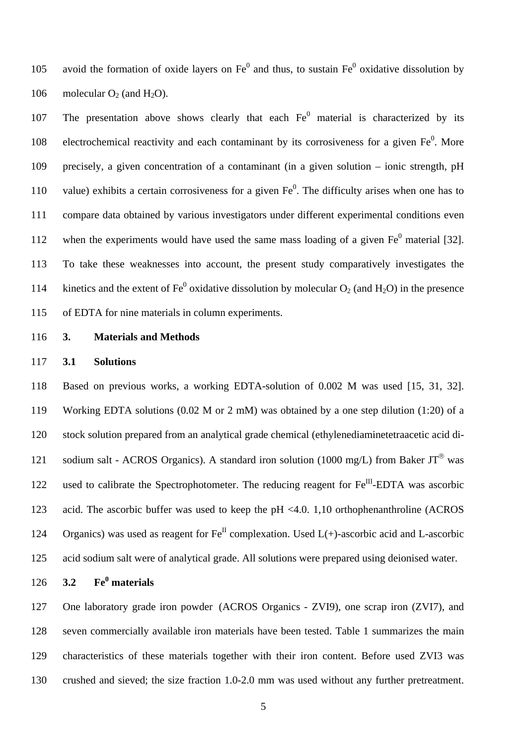avoid the formation of oxide layers on  $Fe<sup>0</sup>$  and thus, to sustain  $Fe<sup>0</sup>$  oxidative dissolution by molecular  $O_2$  (and  $H_2O$ ). 105 106

107 108 109 110 111 112 113 114 115 The presentation above shows clearly that each  $Fe<sup>0</sup>$  material is characterized by its electrochemical reactivity and each contaminant by its corrosiveness for a given  $Fe<sup>0</sup>$ . More precisely, a given concentration of a contaminant (in a given solution – ionic strength, pH value) exhibits a certain corrosiveness for a given  $Fe<sup>0</sup>$ . The difficulty arises when one has to compare data obtained by various investigators under different experimental conditions even when the experiments would have used the same mass loading of a given  $Fe<sup>0</sup>$  material [32]. To take these weaknesses into account, the present study comparatively investigates the kinetics and the extent of Fe<sup>0</sup> oxidative dissolution by molecular  $O_2$  (and  $H_2O$ ) in the presence of EDTA for nine materials in column experiments.

116

### **3. Materials and Methods**

#### 117 **3.1 Solutions**

118 119 120 121 122 123 124 125 Based on previous works, a working EDTA-solution of 0.002 M was used [15, 31, 32]. Working EDTA solutions (0.02 M or 2 mM) was obtained by a one step dilution (1:20) of a stock solution prepared from an analytical grade chemical (ethylenediaminetetraacetic acid disodium salt - ACROS Organics). A standard iron solution (1000 mg/L) from Baker  $JT^@$  was used to calibrate the Spectrophotometer. The reducing reagent for  $Fe^{III}$ -EDTA was ascorbic acid. The ascorbic buffer was used to keep the pH <4.0. 1,10 orthophenanthroline (ACROS Organics) was used as reagent for  $Fe^{II}$  complexation. Used  $L(+)$ -ascorbic acid and L-ascorbic acid sodium salt were of analytical grade. All solutions were prepared using deionised water.

126 **3.2 Fe<sup>0</sup> materials** 

127 128 129 130 One laboratory grade iron powder (ACROS Organics - ZVI9), one scrap iron (ZVI7), and seven commercially available iron materials have been tested. Table 1 summarizes the main characteristics of these materials together with their iron content. Before used ZVI3 was crushed and sieved; the size fraction 1.0-2.0 mm was used without any further pretreatment.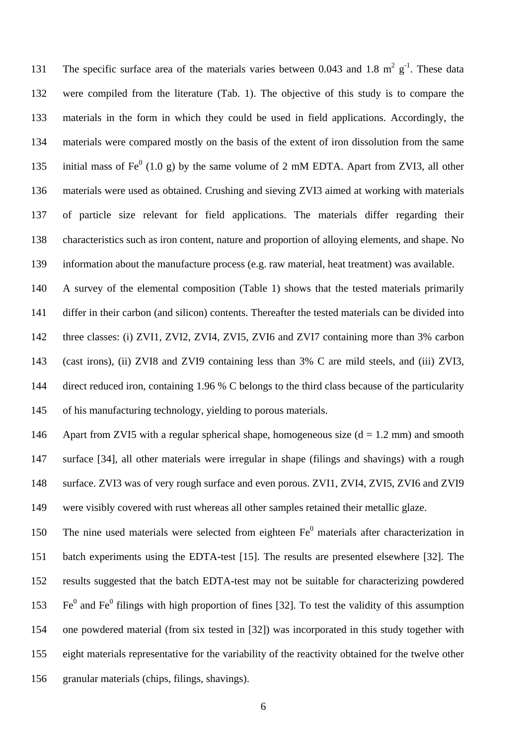The specific surface area of the materials varies between 0.043 and 1.8  $m^2$  g<sup>-1</sup>. These data were compiled from the literature (Tab. 1). The objective of this study is to compare the materials in the form in which they could be used in field applications. Accordingly, the materials were compared mostly on the basis of the extent of iron dissolution from the same initial mass of Fe<sup>0</sup> (1.0 g) by the same volume of 2 mM EDTA. Apart from ZVI3, all other 131 132 133 134 135 136 137 138 139 materials were used as obtained. Crushing and sieving ZVI3 aimed at working with materials of particle size relevant for field applications. The materials differ regarding their characteristics such as iron content, nature and proportion of alloying elements, and shape. No information about the manufacture process (e.g. raw material, heat treatment) was available.

140 141 142 143 144 145 A survey of the elemental composition (Table 1) shows that the tested materials primarily differ in their carbon (and silicon) contents. Thereafter the tested materials can be divided into three classes: (i) ZVI1, ZVI2, ZVI4, ZVI5, ZVI6 and ZVI7 containing more than 3% carbon (cast irons), (ii) ZVI8 and ZVI9 containing less than 3% C are mild steels, and (iii) ZVI3, direct reduced iron, containing 1.96 % C belongs to the third class because of the particularity of his manufacturing technology, yielding to porous materials.

146 147 148 149 Apart from ZVI5 with a regular spherical shape, homogeneous size  $(d = 1.2 \text{ mm})$  and smooth surface [34], all other materials were irregular in shape (filings and shavings) with a rough surface. ZVI3 was of very rough surface and even porous. ZVI1, ZVI4, ZVI5, ZVI6 and ZVI9 were visibly covered with rust whereas all other samples retained their metallic glaze.

150 151 152 153 154 155 156 The nine used materials were selected from eighteen  $Fe<sup>0</sup>$  materials after characterization in batch experiments using the EDTA-test [15]. The results are presented elsewhere [32]. The results suggested that the batch EDTA-test may not be suitable for characterizing powdered  $Fe<sup>0</sup>$  and Fe<sup>0</sup> filings with high proportion of fines [32]. To test the validity of this assumption one powdered material (from six tested in [32]) was incorporated in this study together with eight materials representative for the variability of the reactivity obtained for the twelve other granular materials (chips, filings, shavings).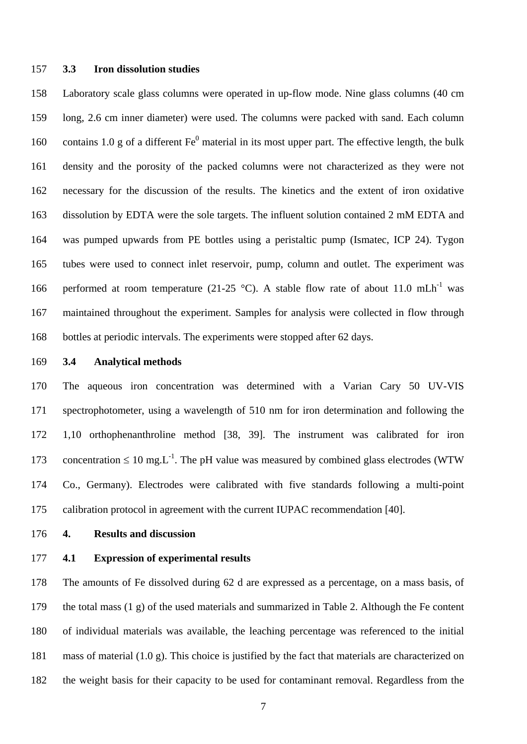### 157 **3.3 Iron dissolution studies**

158 159 160 161 162 163 164 165 166 167 168 Laboratory scale glass columns were operated in up-flow mode. Nine glass columns (40 cm long, 2.6 cm inner diameter) were used. The columns were packed with sand. Each column contains 1.0 g of a different  $Fe<sup>0</sup>$  material in its most upper part. The effective length, the bulk density and the porosity of the packed columns were not characterized as they were not necessary for the discussion of the results. The kinetics and the extent of iron oxidative dissolution by EDTA were the sole targets. The influent solution contained 2 mM EDTA and was pumped upwards from PE bottles using a peristaltic pump (Ismatec, ICP 24). Tygon tubes were used to connect inlet reservoir, pump, column and outlet. The experiment was performed at room temperature (21-25  $^{\circ}$ C). A stable flow rate of about 11.0 mLh<sup>-1</sup> was maintained throughout the experiment. Samples for analysis were collected in flow through bottles at periodic intervals. The experiments were stopped after 62 days.

#### 169 **3.4 Analytical methods**

170 171 172 173 174 175 The aqueous iron concentration was determined with a Varian Cary 50 UV-VIS spectrophotometer, using a wavelength of 510 nm for iron determination and following the 1,10 orthophenanthroline method [38, 39]. The instrument was calibrated for iron concentration  $\leq 10 \text{ mg}$ . The pH value was measured by combined glass electrodes (WTW) Co., Germany). Electrodes were calibrated with five standards following a multi-point calibration protocol in agreement with the current IUPAC recommendation [40].

- 176 **4. Results and discussion**
- 177 **4.1 Expression of experimental results**

178 179 180 181 182 The amounts of Fe dissolved during 62 d are expressed as a percentage, on a mass basis, of the total mass (1 g) of the used materials and summarized in Table 2. Although the Fe content of individual materials was available, the leaching percentage was referenced to the initial mass of material (1.0 g). This choice is justified by the fact that materials are characterized on the weight basis for their capacity to be used for contaminant removal. Regardless from the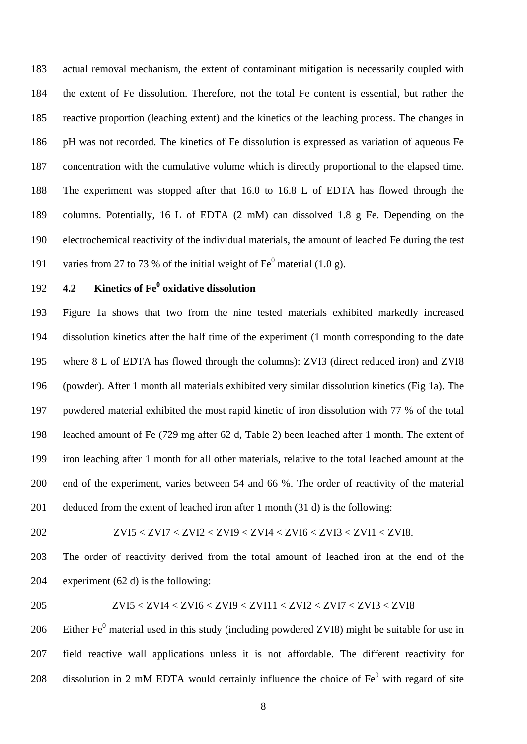actual removal mechanism, the extent of contaminant mitigation is necessarily coupled with the extent of Fe dissolution. Therefore, not the total Fe content is essential, but rather the reactive proportion (leaching extent) and the kinetics of the leaching process. The changes in pH was not recorded. The kinetics of Fe dissolution is expressed as variation of aqueous Fe concentration with the cumulative volume which is directly proportional to the elapsed time. The experiment was stopped after that 16.0 to 16.8 L of EDTA has flowed through the columns. Potentially, 16 L of EDTA (2 mM) can dissolved 1.8 g Fe. Depending on the electrochemical reactivity of the individual materials, the amount of leached Fe during the test varies from 27 to 73 % of the initial weight of  $\text{Fe}^0$  material (1.0 g). 183 184 185 186 187 188 189 190 191

### 192

## **4.2 Kinetics of Fe<sup>0</sup> oxidative dissolution**

193 194 195 196 197 198 199 200 201 Figure 1a shows that two from the nine tested materials exhibited markedly increased dissolution kinetics after the half time of the experiment (1 month corresponding to the date where 8 L of EDTA has flowed through the columns): ZVI3 (direct reduced iron) and ZVI8 (powder). After 1 month all materials exhibited very similar dissolution kinetics (Fig 1a). The powdered material exhibited the most rapid kinetic of iron dissolution with 77 % of the total leached amount of Fe (729 mg after 62 d, Table 2) been leached after 1 month. The extent of iron leaching after 1 month for all other materials, relative to the total leached amount at the end of the experiment, varies between 54 and 66 %. The order of reactivity of the material deduced from the extent of leached iron after 1 month (31 d) is the following:

202

$$
ZVI5 < ZVI7 < ZVI2 < ZVI9 < ZVI4 < ZVI6 < ZVI3 < ZV11 < ZVI8.
$$

203 204 The order of reactivity derived from the total amount of leached iron at the end of the experiment (62 d) is the following:

205

# ZVI5 < ZVI4 < ZVI6 < ZVI9 < ZVI11 < ZVI2 < ZVI7 < ZVI3 < ZVI8

206 207 208 Either  $Fe<sup>0</sup>$  material used in this study (including powdered ZVI8) might be suitable for use in field reactive wall applications unless it is not affordable. The different reactivity for dissolution in 2 mM EDTA would certainly influence the choice of  $Fe<sup>0</sup>$  with regard of site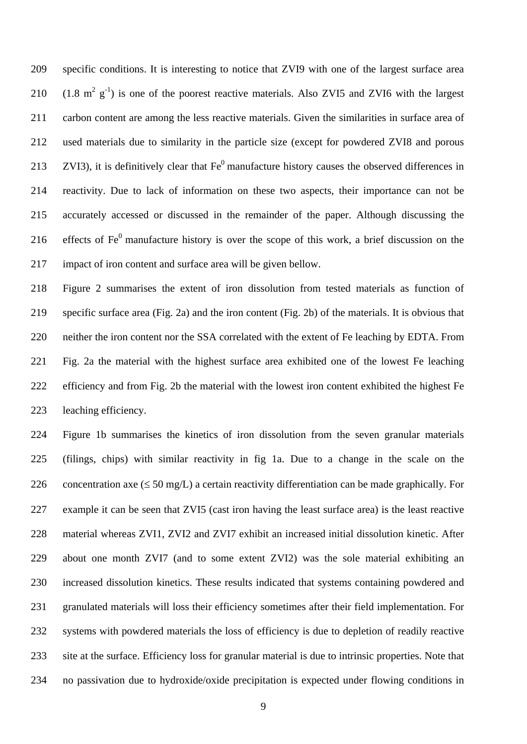specific conditions. It is interesting to notice that ZVI9 with one of the largest surface area  $(1.8 \text{ m}^2 \text{ g}^{-1})$  is one of the poorest reactive materials. Also ZVI5 and ZVI6 with the largest 209 210 211 212 213 214 215 216 217 carbon content are among the less reactive materials. Given the similarities in surface area of used materials due to similarity in the particle size (except for powdered ZVI8 and porous ZVI3), it is definitively clear that  $Fe<sup>0</sup>$  manufacture history causes the observed differences in reactivity. Due to lack of information on these two aspects, their importance can not be accurately accessed or discussed in the remainder of the paper. Although discussing the effects of  $Fe<sup>0</sup>$  manufacture history is over the scope of this work, a brief discussion on the impact of iron content and surface area will be given bellow.

218 219 220 221 222 223 Figure 2 summarises the extent of iron dissolution from tested materials as function of specific surface area (Fig. 2a) and the iron content (Fig. 2b) of the materials. It is obvious that neither the iron content nor the SSA correlated with the extent of Fe leaching by EDTA. From Fig. 2a the material with the highest surface area exhibited one of the lowest Fe leaching efficiency and from Fig. 2b the material with the lowest iron content exhibited the highest Fe leaching efficiency.

224 225 226 227 228 229 230 231 232 233 234 Figure 1b summarises the kinetics of iron dissolution from the seven granular materials (filings, chips) with similar reactivity in fig 1a. Due to a change in the scale on the concentration axe  $(\leq 50 \text{ mg/L})$  a certain reactivity differentiation can be made graphically. For example it can be seen that ZVI5 (cast iron having the least surface area) is the least reactive material whereas ZVI1, ZVI2 and ZVI7 exhibit an increased initial dissolution kinetic. After about one month ZVI7 (and to some extent ZVI2) was the sole material exhibiting an increased dissolution kinetics. These results indicated that systems containing powdered and granulated materials will loss their efficiency sometimes after their field implementation. For systems with powdered materials the loss of efficiency is due to depletion of readily reactive site at the surface. Efficiency loss for granular material is due to intrinsic properties. Note that no passivation due to hydroxide/oxide precipitation is expected under flowing conditions in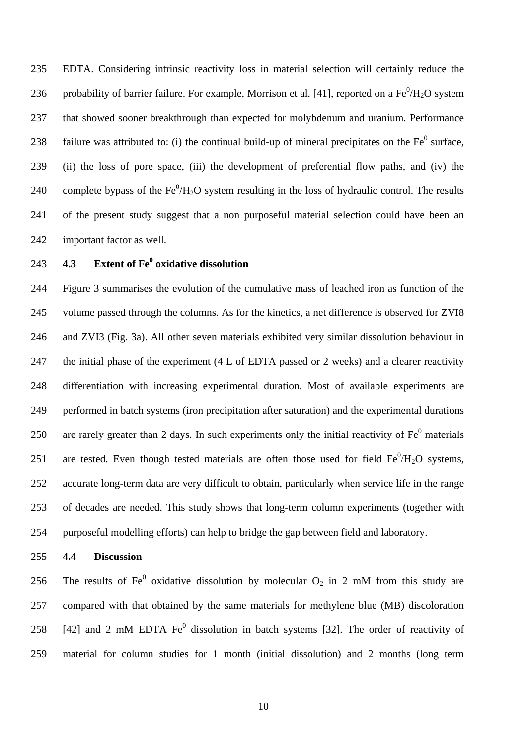EDTA. Considering intrinsic reactivity loss in material selection will certainly reduce the probability of barrier failure. For example, Morrison et al. [41], reported on a  $Fe^0/H_2O$  system 235 236 237 238 239 240 241 242 that showed sooner breakthrough than expected for molybdenum and uranium. Performance failure was attributed to: (i) the continual build-up of mineral precipitates on the  $Fe<sup>0</sup>$  surface, (ii) the loss of pore space, (iii) the development of preferential flow paths, and (iv) the complete bypass of the  $Fe^{0}/H_{2}O$  system resulting in the loss of hydraulic control. The results of the present study suggest that a non purposeful material selection could have been an important factor as well.

### 243 **4.3 Extent of Fe<sup>0</sup> oxidative dissolution**

244 245 246 247 248 249 250 251 252 253 254 Figure 3 summarises the evolution of the cumulative mass of leached iron as function of the volume passed through the columns. As for the kinetics, a net difference is observed for ZVI8 and ZVI3 (Fig. 3a). All other seven materials exhibited very similar dissolution behaviour in the initial phase of the experiment (4 L of EDTA passed or 2 weeks) and a clearer reactivity differentiation with increasing experimental duration. Most of available experiments are performed in batch systems (iron precipitation after saturation) and the experimental durations are rarely greater than 2 days. In such experiments only the initial reactivity of  $Fe<sup>0</sup>$  materials are tested. Even though tested materials are often those used for field  $Fe^{0}/H_{2}O$  systems, accurate long-term data are very difficult to obtain, particularly when service life in the range of decades are needed. This study shows that long-term column experiments (together with purposeful modelling efforts) can help to bridge the gap between field and laboratory.

### 255 **4.4 Discussion**

256 257 258 259 The results of Fe<sup>0</sup> oxidative dissolution by molecular  $O_2$  in 2 mM from this study are compared with that obtained by the same materials for methylene blue (MB) discoloration [42] and 2 mM EDTA  $Fe<sup>0</sup>$  dissolution in batch systems [32]. The order of reactivity of material for column studies for 1 month (initial dissolution) and 2 months (long term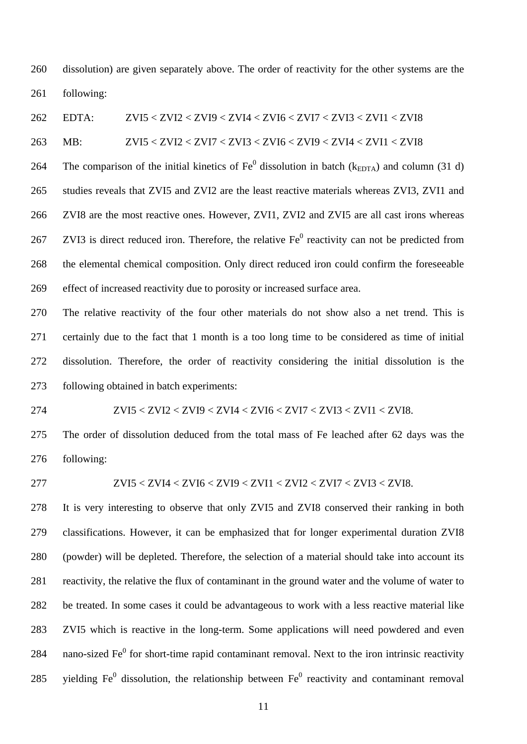260 261 dissolution) are given separately above. The order of reactivity for the other systems are the following:

262 263 264 265 266 267 268 269 EDTA: ZVI5 < ZVI2 < ZVI9 < ZVI4 < ZVI6 < ZVI7 < ZVI3 < ZVI1 < ZVI8 MB: ZVI5 < ZVI2 < ZVI7 < ZVI3 < ZVI6 < ZVI9 < ZVI4 < ZVI1 < ZVI8 The comparison of the initial kinetics of  $\text{Fe}^0$  dissolution in batch ( $k_{\text{EDTA}}$ ) and column (31 d) studies reveals that ZVI5 and ZVI2 are the least reactive materials whereas ZVI3, ZVI1 and ZVI8 are the most reactive ones. However, ZVI1, ZVI2 and ZVI5 are all cast irons whereas ZVI3 is direct reduced iron. Therefore, the relative  $Fe<sup>0</sup>$  reactivity can not be predicted from the elemental chemical composition. Only direct reduced iron could confirm the foreseeable effect of increased reactivity due to porosity or increased surface area.

270 271 272 273 The relative reactivity of the four other materials do not show also a net trend. This is certainly due to the fact that 1 month is a too long time to be considered as time of initial dissolution. Therefore, the order of reactivity considering the initial dissolution is the following obtained in batch experiments:

274 ZVI5 < ZVI2 < ZVI9 < ZVI4 < ZVI6 < ZVI7 < ZVI3 < ZVI1 < ZVI8.

275 276 The order of dissolution deduced from the total mass of Fe leached after 62 days was the following:

277

$$
ZVI5 < ZVI4 < ZVI6 < ZVI9 < ZVII1 < ZVI2 < ZVI7 < ZVI3 < ZVI8. \label{eq:ZVI5}
$$

278 279 280 281 282 283 284 285 It is very interesting to observe that only ZVI5 and ZVI8 conserved their ranking in both classifications. However, it can be emphasized that for longer experimental duration ZVI8 (powder) will be depleted. Therefore, the selection of a material should take into account its reactivity, the relative the flux of contaminant in the ground water and the volume of water to be treated. In some cases it could be advantageous to work with a less reactive material like ZVI5 which is reactive in the long-term. Some applications will need powdered and even nano-sized  $Fe<sup>0</sup>$  for short-time rapid contaminant removal. Next to the iron intrinsic reactivity yielding  $Fe<sup>0</sup>$  dissolution, the relationship between  $Fe<sup>0</sup>$  reactivity and contaminant removal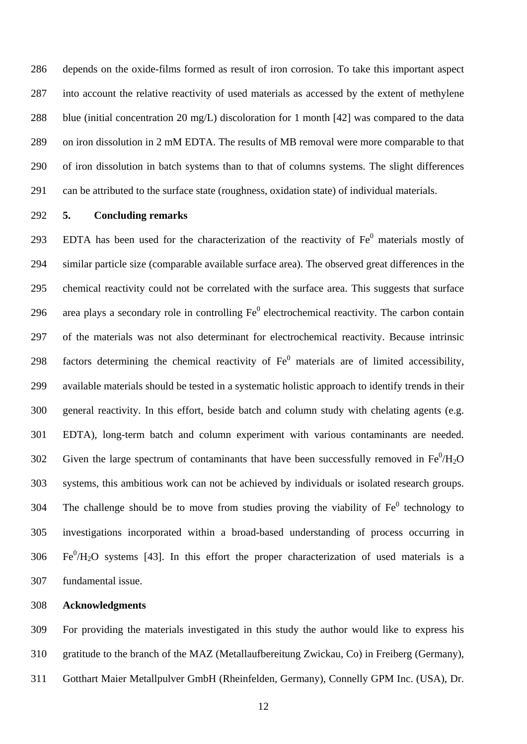286 287 288 289 290 291 depends on the oxide-films formed as result of iron corrosion. To take this important aspect into account the relative reactivity of used materials as accessed by the extent of methylene blue (initial concentration 20 mg/L) discoloration for 1 month [42] was compared to the data on iron dissolution in 2 mM EDTA. The results of MB removal were more comparable to that of iron dissolution in batch systems than to that of columns systems. The slight differences can be attributed to the surface state (roughness, oxidation state) of individual materials.

292

### **5. Concluding remarks**

293 294 295 296 297 298 299 300 301 302 303 304 305 306 307 EDTA has been used for the characterization of the reactivity of  $Fe<sup>0</sup>$  materials mostly of similar particle size (comparable available surface area). The observed great differences in the chemical reactivity could not be correlated with the surface area. This suggests that surface area plays a secondary role in controlling  $Fe<sup>0</sup>$  electrochemical reactivity. The carbon contain of the materials was not also determinant for electrochemical reactivity. Because intrinsic factors determining the chemical reactivity of  $Fe<sup>0</sup>$  materials are of limited accessibility, available materials should be tested in a systematic holistic approach to identify trends in their general reactivity. In this effort, beside batch and column study with chelating agents (e.g. EDTA), long-term batch and column experiment with various contaminants are needed. Given the large spectrum of contaminants that have been successfully removed in  $Fe^{0}/H_{2}O$ systems, this ambitious work can not be achieved by individuals or isolated research groups. The challenge should be to move from studies proving the viability of  $Fe<sup>0</sup>$  technology to investigations incorporated within a broad-based understanding of process occurring in  $Fe^{0}/H_{2}O$  systems [43]. In this effort the proper characterization of used materials is a fundamental issue.

### 308 **Acknowledgments**

309 310 311 For providing the materials investigated in this study the author would like to express his gratitude to the branch of the MAZ (Metallaufbereitung Zwickau, Co) in Freiberg (Germany), Gotthart Maier Metallpulver GmbH (Rheinfelden, Germany), Connelly GPM Inc. (USA), Dr.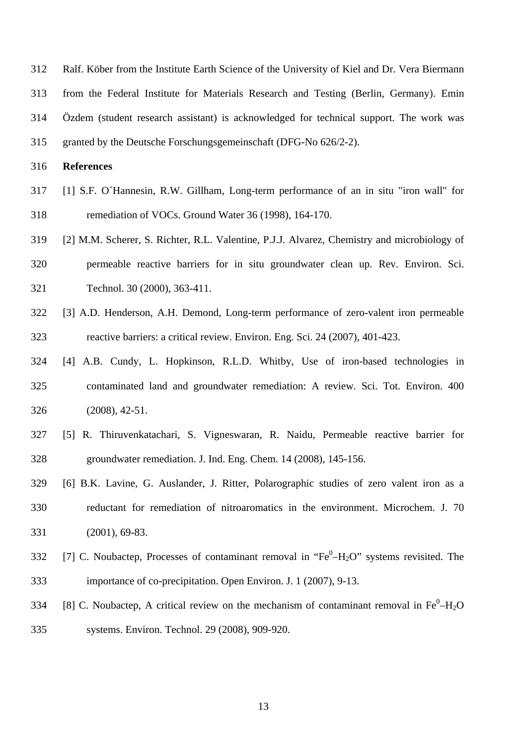312 313 314 315 Ralf. Köber from the Institute Earth Science of the University of Kiel and Dr. Vera Biermann from the Federal Institute for Materials Research and Testing (Berlin, Germany). Emin Özdem (student research assistant) is acknowledged for technical support. The work was granted by the Deutsche Forschungsgemeinschaft (DFG-No 626/2-2).

316 **References**

- 317 318 [1] S.F. O´Hannesin, R.W. Gillham, Long-term performance of an in situ "iron wall" for remediation of VOCs. Ground Water 36 (1998), 164-170.
- 319 320 321 [2] M.M. Scherer, S. Richter, R.L. Valentine, P.J.J. Alvarez, Chemistry and microbiology of permeable reactive barriers for in situ groundwater clean up. Rev. Environ. Sci. Technol. 30 (2000), 363-411.
- 322 323 [3] A.D. Henderson, A.H. Demond, Long-term performance of zero-valent iron permeable reactive barriers: a critical review. Environ. Eng. Sci. 24 (2007), 401-423.
- 324 325 326 [4] A.B. Cundy, L. Hopkinson, R.L.D. Whitby, Use of iron-based technologies in contaminated land and groundwater remediation: A review. Sci. Tot. Environ. 400 (2008), 42-51.
- 327 328 [5] R. Thiruvenkatachari, S. Vigneswaran, R. Naidu, Permeable reactive barrier for groundwater remediation. J. Ind. Eng. Chem. 14 (2008), 145-156.
- 329 330 331 [6] B.K. Lavine, G. Auslander, J. Ritter, Polarographic studies of zero valent iron as a reductant for remediation of nitroaromatics in the environment. Microchem. J. 70 (2001), 69-83.
- 332 333 [7] C. Noubactep, Processes of contaminant removal in " $Fe^{0}$ -H<sub>2</sub>O" systems revisited. The importance of co-precipitation. Open Environ. J. 1 (2007), 9-13.
- 334 335 [8] C. Noubactep, A critical review on the mechanism of contaminant removal in  $Fe^{0}-H_{2}O$ systems. Environ. Technol. 29 (2008), 909-920.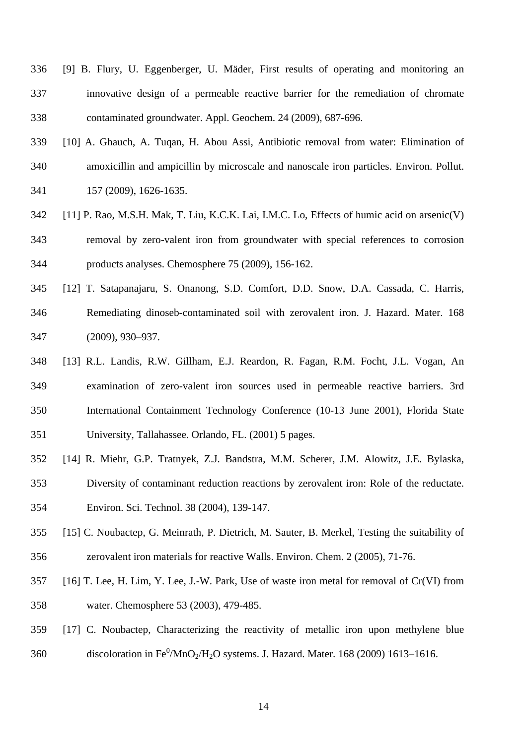- 336 337 338 [9] B. Flury, U. Eggenberger, U. Mäder, First results of operating and monitoring an innovative design of a permeable reactive barrier for the remediation of chromate contaminated groundwater. Appl. Geochem. 24 (2009), 687-696.
- 339 340 341 [10] A. Ghauch, A. Tuqan, H. Abou Assi, Antibiotic removal from water: Elimination of amoxicillin and ampicillin by microscale and nanoscale iron particles. Environ. Pollut. 157 (2009), 1626-1635.
- 342 343 344 [11] P. Rao, M.S.H. Mak, T. Liu, K.C.K. Lai, I.M.C. Lo, Effects of humic acid on arsenic(V) removal by zero-valent iron from groundwater with special references to corrosion products analyses. Chemosphere 75 (2009), 156-162.
- 345 346 347 [12] T. Satapanajaru, S. Onanong, S.D. Comfort, D.D. Snow, D.A. Cassada, C. Harris, Remediating dinoseb-contaminated soil with zerovalent iron. J. Hazard. Mater. 168 (2009), 930–937.
- 348 349 350 351 [13] R.L. Landis, R.W. Gillham, E.J. Reardon, R. Fagan, R.M. Focht, J.L. Vogan, An examination of zero-valent iron sources used in permeable reactive barriers. 3rd International Containment Technology Conference (10-13 June 2001), Florida State University, Tallahassee. Orlando, FL. (2001) 5 pages.
- 352 353 354 [14] R. Miehr, G.P. Tratnyek, Z.J. Bandstra, M.M. Scherer, J.M. Alowitz, J.E. Bylaska, Diversity of contaminant reduction reactions by zerovalent iron: Role of the reductate. Environ. Sci. Technol. 38 (2004), 139-147.
- 355 356 [15] C. Noubactep, G. Meinrath, P. Dietrich, M. Sauter, B. Merkel, Testing the suitability of zerovalent iron materials for reactive Walls. Environ. Chem. 2 (2005), 71-76.
- 357 358 [16] T. Lee, H. Lim, Y. Lee, J.-W. Park, Use of waste iron metal for removal of Cr(VI) from water. Chemosphere 53 (2003), 479-485.
- 359 360 [17] C. Noubactep, Characterizing the reactivity of metallic iron upon methylene blue discoloration in Fe $^0$ /MnO<sub>2</sub>/H<sub>2</sub>O systems. J. Hazard. Mater. 168 (2009) 1613–1616.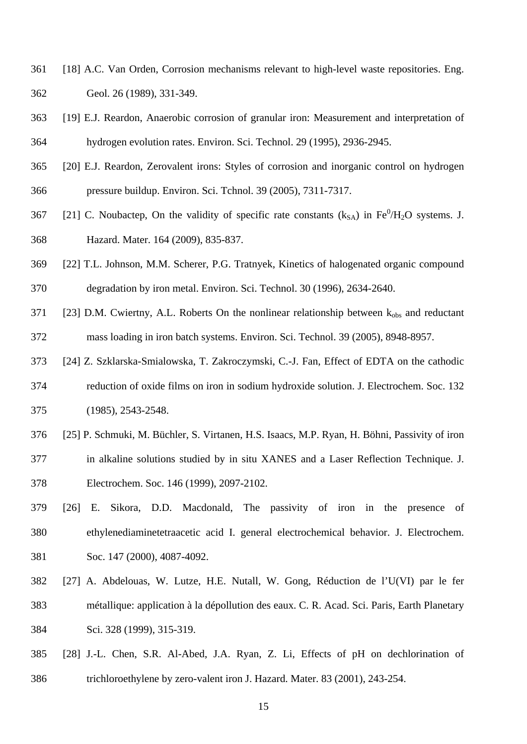- 361 362 [18] A.C. Van Orden, Corrosion mechanisms relevant to high-level waste repositories. Eng. Geol. 26 (1989), 331-349.
- 363 364 [19] E.J. Reardon, Anaerobic corrosion of granular iron: Measurement and interpretation of hydrogen evolution rates. Environ. Sci. Technol. 29 (1995), 2936-2945.
- 365 366 [20] E.J. Reardon, Zerovalent irons: Styles of corrosion and inorganic control on hydrogen pressure buildup. Environ. Sci. Tchnol. 39 (2005), 7311-7317.
- 367 368 [21] C. Noubactep, On the validity of specific rate constants  $(k_{SA})$  in Fe $^0$ /H<sub>2</sub>O systems. J. Hazard. Mater. 164 (2009), 835-837.
- 369 370 [22] T.L. Johnson, M.M. Scherer, P.G. Tratnyek, Kinetics of halogenated organic compound degradation by iron metal. Environ. Sci. Technol. 30 (1996), 2634-2640.
- 371 372 [23] D.M. Cwiertny, A.L. Roberts On the nonlinear relationship between  $k_{obs}$  and reductant mass loading in iron batch systems. Environ. Sci. Technol. 39 (2005), 8948-8957.
- 373 [24] Z. Szklarska-Smialowska, T. Zakroczymski, C.-J. Fan, Effect of EDTA on the cathodic
- 374 375 reduction of oxide films on iron in sodium hydroxide solution. J. Electrochem. Soc. 132 (1985), 2543-2548.
- 376 377 378 [25] P. Schmuki, M. Büchler, S. Virtanen, H.S. Isaacs, M.P. Ryan, H. Böhni, Passivity of iron in alkaline solutions studied by in situ XANES and a Laser Reflection Technique. J. Electrochem. Soc. 146 (1999), 2097-2102.
- 379 380 381 [26] E. Sikora, D.D. Macdonald, The passivity of iron in the presence of ethylenediaminetetraacetic acid I. general electrochemical behavior. J. Electrochem. Soc. 147 (2000), 4087-4092.
- 382 383 384 [27] A. Abdelouas, W. Lutze, H.E. Nutall, W. Gong, Réduction de l'U(VI) par le fer métallique: application à la dépollution des eaux. C. R. Acad. Sci. Paris, Earth Planetary Sci. 328 (1999), 315-319.
- 385 386 [28] J.-L. Chen, S.R. Al-Abed, J.A. Ryan, Z. Li, Effects of pH on dechlorination of trichloroethylene by zero-valent iron J. Hazard. Mater. 83 (2001), 243-254.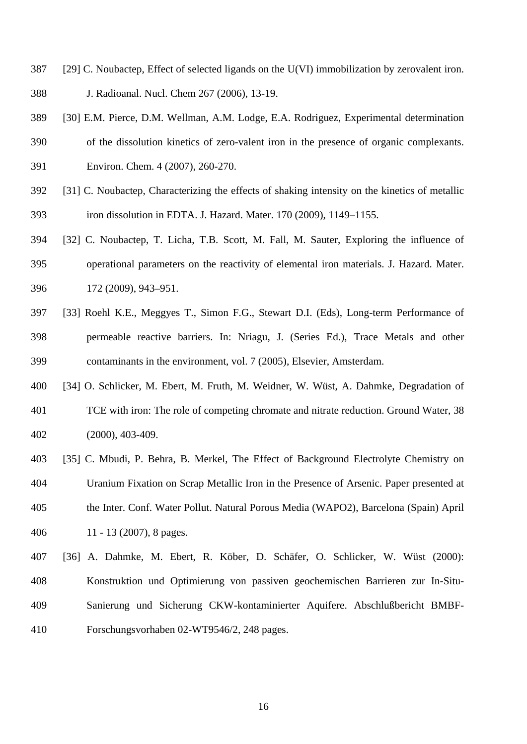- 387 [29] C. Noubactep, Effect of selected ligands on the U(VI) immobilization by zerovalent iron.
- 388 J. Radioanal. Nucl. Chem 267 (2006), 13-19.
- 389 [30] E.M. Pierce, D.M. Wellman, A.M. Lodge, E.A. Rodriguez, Experimental determination
- 390 of the dissolution kinetics of zero-valent iron in the presence of organic complexants.
- 391 Environ. Chem. 4 (2007), 260-270.
- 392 393 [31] C. Noubactep, Characterizing the effects of shaking intensity on the kinetics of metallic iron dissolution in EDTA. J. Hazard. Mater. 170 (2009), 1149–1155.
- 394 395 396 [32] C. Noubactep, T. Licha, T.B. Scott, M. Fall, M. Sauter, Exploring the influence of operational parameters on the reactivity of elemental iron materials. J. Hazard. Mater. 172 (2009), 943–951.
- 397 398 399 [33] Roehl K.E., Meggyes T., Simon F.G., Stewart D.I. (Eds), Long-term Performance of permeable reactive barriers. In: Nriagu, J. (Series Ed.), Trace Metals and other contaminants in the environment, vol. 7 (2005), Elsevier, Amsterdam.
- 400 401 402 [34] O. Schlicker, M. Ebert, M. Fruth, M. Weidner, W. Wüst, A. Dahmke, Degradation of TCE with iron: The role of competing chromate and nitrate reduction. Ground Water, 38 (2000), 403-409.
- 403 404 405 406 [35] C. Mbudi, P. Behra, B. Merkel, The Effect of Background Electrolyte Chemistry on Uranium Fixation on Scrap Metallic Iron in the Presence of Arsenic. Paper presented at the Inter. Conf. Water Pollut. Natural Porous Media (WAPO2), Barcelona (Spain) April 11 - 13 (2007), 8 pages.
- 407 408 409 410 [36] A. Dahmke, M. Ebert, R. Köber, D. Schäfer, O. Schlicker, W. Wüst (2000): Konstruktion und Optimierung von passiven geochemischen Barrieren zur In-Situ-Sanierung und Sicherung CKW-kontaminierter Aquifere. Abschlußbericht BMBF-Forschungsvorhaben 02-WT9546/2, 248 pages.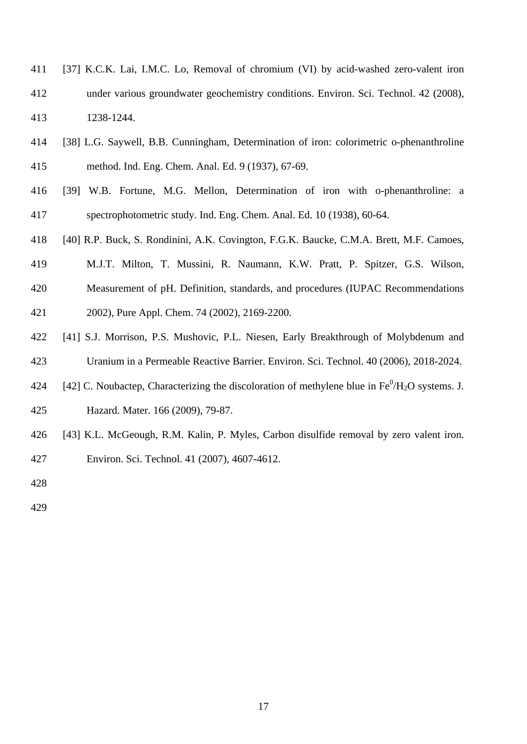- 411 412 413 [37] K.C.K. Lai, I.M.C. Lo, Removal of chromium (VI) by acid-washed zero-valent iron under various groundwater geochemistry conditions. Environ. Sci. Technol. 42 (2008), 1238-1244.
- 414 415 [38] L.G. Saywell, B.B. Cunningham, Determination of iron: colorimetric o-phenanthroline method. Ind. Eng. Chem. Anal. Ed. 9 (1937), 67-69.
- 416 417 [39] W.B. Fortune, M.G. Mellon, Determination of iron with o-phenanthroline: a spectrophotometric study. Ind. Eng. Chem. Anal. Ed. 10 (1938), 60-64.
- 418 [40] R.P. Buck, S. Rondinini, A.K. Covington, F.G.K. Baucke, C.M.A. Brett, M.F. Camoes,
- 419 M.J.T. Milton, T. Mussini, R. Naumann, K.W. Pratt, P. Spitzer, G.S. Wilson,
- 420 Measurement of pH. Definition, standards, and procedures (IUPAC Recommendations
- 421 2002), Pure Appl. Chem. 74 (2002), 2169-2200.
- 422 423 [41] S.J. Morrison, P.S. Mushovic, P.L. Niesen, Early Breakthrough of Molybdenum and Uranium in a Permeable Reactive Barrier. Environ. Sci. Technol. 40 (2006), 2018-2024.
- 424 425 [42] C. Noubactep, Characterizing the discoloration of methylene blue in  $Fe^{0}/H_{2}O$  systems. J. Hazard. Mater. 166 (2009), 79-87.
- 426 [43] K.L. McGeough, R.M. Kalin, P. Myles, Carbon disulfide removal by zero valent iron.
- 427 Environ. Sci. Technol. 41 (2007), 4607-4612.
- 428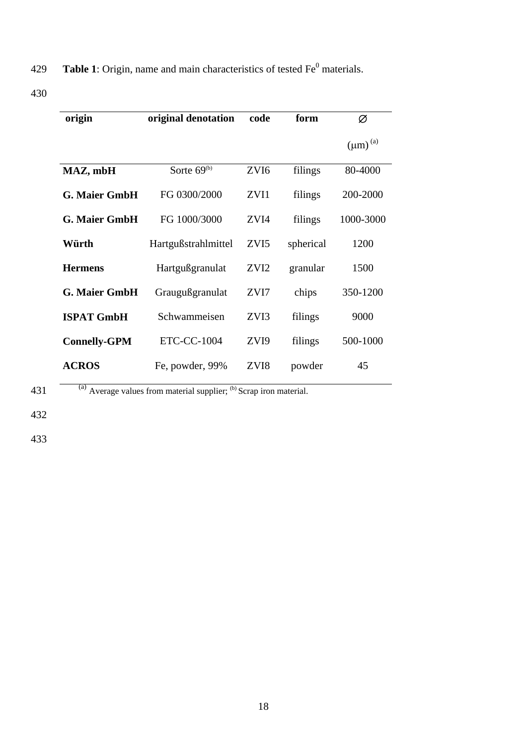**Table 1**: Origin, name and main characteristics of tested  $Fe<sup>0</sup>$  materials.

| origin               | original denotation | code             | form      | Ø               |
|----------------------|---------------------|------------------|-----------|-----------------|
|                      |                     |                  |           | $(\mu m)^{(a)}$ |
| MAZ, mbH             | Sorte $69(b)$       | ZVI <sub>6</sub> | filings   | 80-4000         |
| <b>G. Maier GmbH</b> | FG 0300/2000        | ZVI1             | filings   | 200-2000        |
| <b>G. Maier GmbH</b> | FG 1000/3000        | ZVI4             | filings   | 1000-3000       |
| Würth                | Hartgußstrahlmittel | ZVI <sub>5</sub> | spherical | 1200            |
| <b>Hermens</b>       | Hartgußgranulat     | ZVI <sub>2</sub> | granular  | 1500            |
| <b>G. Maier GmbH</b> | Graugußgranulat     | ZVI7             | chips     | 350-1200        |
| <b>ISPAT GmbH</b>    | Schwammeisen        | ZVI3             | filings   | 9000            |
| <b>Connelly-GPM</b>  | <b>ETC-CC-1004</b>  | ZVI <sub>9</sub> | filings   | 500-1000        |
| <b>ACROS</b>         | Fe, powder, 99%     | ZVI8             | powder    | 45              |

 $\overline{a}$  (a) Average values from material supplier; <sup>(b)</sup> Scrap iron material.

432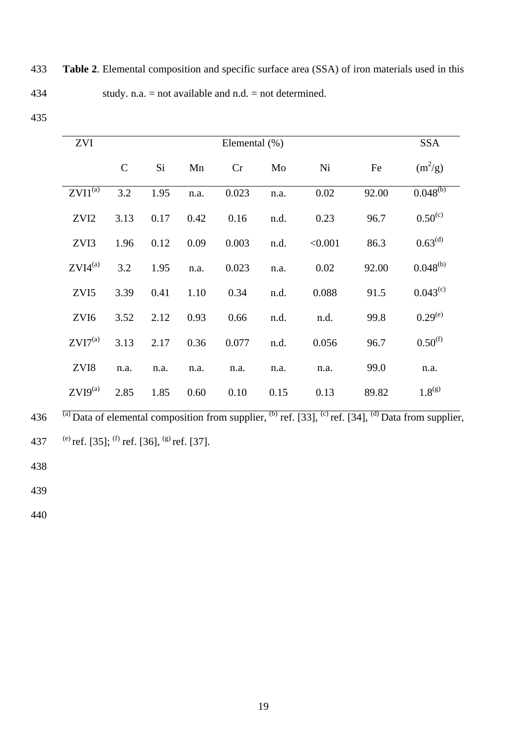**Table 2**. Elemental composition and specific surface area (SSA) of iron materials used in this study. n.a. = not available and n.d. = not determined. 433 434

| ZVI                    | Elemental $(\%)$ |      |      |       |      | <b>SSA</b> |       |                     |
|------------------------|------------------|------|------|-------|------|------------|-------|---------------------|
|                        | $\mathsf{C}$     | Si   | Mn   | Cr    | Mo   | Ni         | Fe    | $(m^2/g)$           |
| $ZVI^{(\overline{a})}$ | 3.2              | 1.95 | n.a. | 0.023 | n.a. | 0.02       | 92.00 | $0.048^{(b)}$       |
| ZVI <sub>2</sub>       | 3.13             | 0.17 | 0.42 | 0.16  | n.d. | 0.23       | 96.7  | $0.50^{(c)}$        |
| ZVI3                   | 1.96             | 0.12 | 0.09 | 0.003 | n.d. | < 0.001    | 86.3  | $0.63^{\text{(d)}}$ |
| $ZVI4^{(a)}$           | 3.2              | 1.95 | n.a. | 0.023 | n.a. | 0.02       | 92.00 | $0.048^{(b)}$       |
| ZVI5                   | 3.39             | 0.41 | 1.10 | 0.34  | n.d. | 0.088      | 91.5  | $0.043^{(c)}$       |
| ZVI <sub>6</sub>       | 3.52             | 2.12 | 0.93 | 0.66  | n.d. | n.d.       | 99.8  | $0.29^{(e)}$        |
| $ZVI7^{(a)}$           | 3.13             | 2.17 | 0.36 | 0.077 | n.d. | 0.056      | 96.7  | $0.50^{(f)}$        |
| ZVI8                   | n.a.             | n.a. | n.a. | n.a.  | n.a. | n.a.       | 99.0  | n.a.                |
| $ZVI9^{(a)}$           | 2.85             | 1.85 | 0.60 | 0.10  | 0.15 | 0.13       | 89.82 | $1.8^{(g)}$         |

436  $\frac{7a}{a}$  Data of elemental composition from supplier,  $\frac{(b)}{b}$  ref. [33],  $\frac{(c)}{c}$  ref. [34],  $\frac{(d)}{d}$  Data from supplier, 437 (e) ref. [35]; <sup>(f)</sup> ref. [36], <sup>(g)</sup> ref. [37].

438

439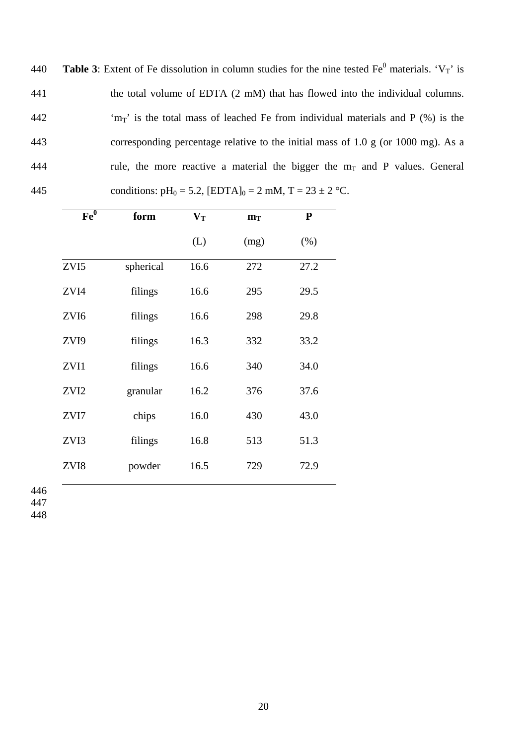**Table 3:** Extent of Fe dissolution in column studies for the nine tested  $Fe<sup>0</sup>$  materials. ' $V_T$ ' is the total volume of EDTA (2 mM) that has flowed into the individual columns. 'm<sub>T</sub>' is the total mass of leached Fe from individual materials and P  $(\%)$  is the 440 441 442 443 444 445 corresponding percentage relative to the initial mass of 1.0 g (or 1000 mg). As a rule, the more reactive a material the bigger the  $m<sub>T</sub>$  and P values. General conditions:  $pH_0 = 5.2$ ,  $[EDTA]_0 = 2$  mM,  $T = 23 \pm 2$  °C.

| Fe <sup>0</sup>  | form      | $\mathbf{V_{T}}$ | $m_T$ | ${\bf P}$ |
|------------------|-----------|------------------|-------|-----------|
|                  |           | (L)              | (mg)  | (% )      |
| ZVI5             | spherical | 16.6             | 272   | 27.2      |
| ZVI4             | filings   | 16.6             | 295   | 29.5      |
| ZVI <sub>6</sub> | filings   | 16.6             | 298   | 29.8      |
| ZVI9             | filings   | 16.3             | 332   | 33.2      |
| ZVI1             | filings   | 16.6             | 340   | 34.0      |
| ZVI2             | granular  | 16.2             | 376   | 37.6      |
| ZVI7             | chips     | 16.0             | 430   | 43.0      |
| ZVI3             | filings   | 16.8             | 513   | 51.3      |
| ZVI8             | powder    | 16.5             | 729   | 72.9      |
|                  |           |                  |       |           |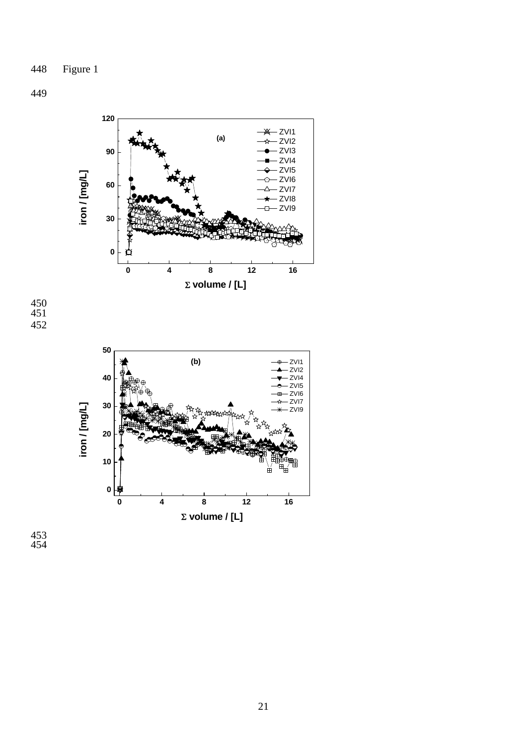450 451 452



453 454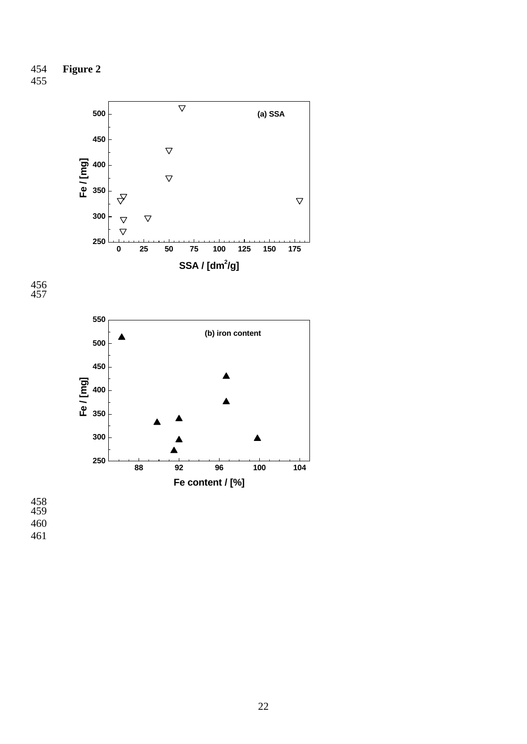



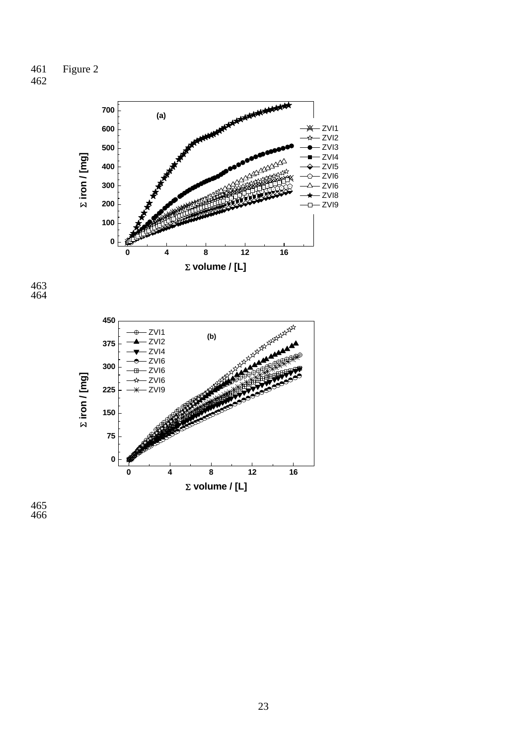461 462 Figure 2



Σ **volume / [L]**